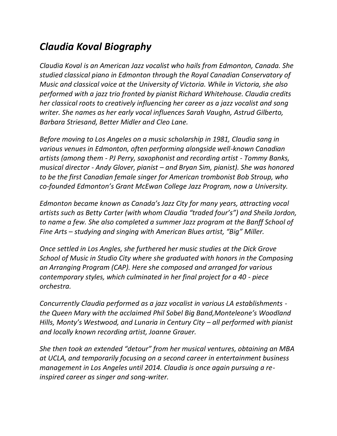## *Claudia Koval Biography*

*Claudia Koval is an American Jazz vocalist who hails from Edmonton, Canada. She studied classical piano in Edmonton through the Royal Canadian Conservatory of Music and classical voice at the University of Victoria. While in Victoria, she also performed with a jazz trio fronted by pianist Richard Whitehouse. Claudia credits her classical roots to creatively influencing her career as a jazz vocalist and song writer. She names as her early vocal influences Sarah Vaughn, Astrud Gilberto, Barbara Striesand, Better Midler and Cleo Lane.* 

*Before moving to Los Angeles on a music scholarship in 1981, Claudia sang in various venues in Edmonton, often performing alongside well-known Canadian artists (among them - PJ Perry, saxophonist and recording artist - Tommy Banks, musical director - Andy Glover, pianist – and Bryan Sim, pianist). She was honored to be the first Canadian female singer for American trombonist Bob Stroup, who co-founded Edmonton's Grant McEwan College Jazz Program, now a University.* 

*Edmonton became known as Canada's Jazz City for many years, attracting vocal artists such as Betty Carter (with whom Claudia "traded four's") and Sheila Jordon, to name a few. She also completed a summer Jazz program at the Banff School of Fine Arts – studying and singing with American Blues artist, "Big" Miller.* 

*Once settled in Los Angles, she furthered her music studies at the Dick Grove School of Music in Studio City where she graduated with honors in the Composing an Arranging Program (CAP). Here she composed and arranged for various contemporary styles, which culminated in her final project for a 40 - piece orchestra.* 

*Concurrently Claudia performed as a jazz vocalist in various LA establishments the Queen Mary with the acclaimed Phil Sobel Big Band,Monteleone's Woodland Hills, Monty's Westwood, and Lunaria in Century City – all performed with pianist and locally known recording artist, Joanne Grauer.* 

*She then took an extended "detour" from her musical ventures, obtaining an MBA at UCLA, and temporarily focusing on a second career in entertainment business management in Los Angeles until 2014. Claudia is once again pursuing a reinspired career as singer and song-writer.*